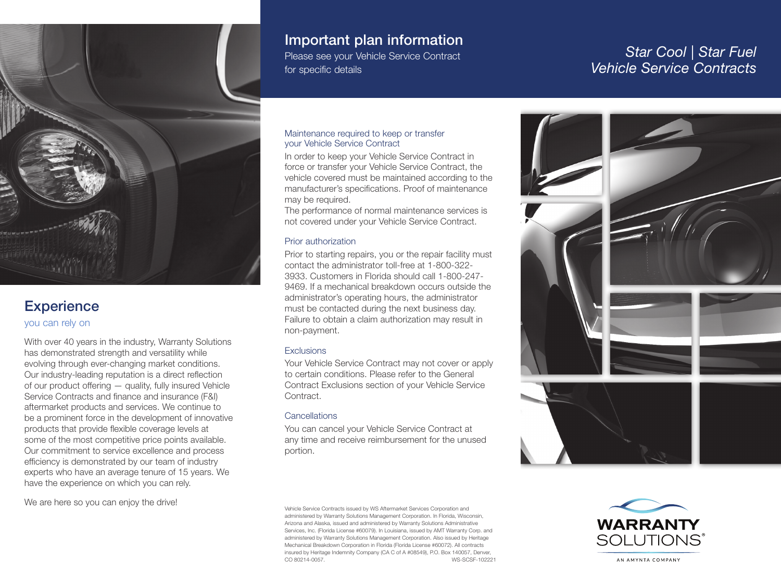

# **Experience**

### you can rely on

With over 40 years in the industry, Warranty Solutions has demonstrated strength and versatility while evolving through ever-changing market conditions. Our industry-leading reputation is a direct reflection of our product offering — quality, fully insured Vehicle Service Contracts and finance and insurance (F&I) aftermarket products and services. We continue to be a prominent force in the development of innovative products that provide flexible coverage levels at some of the most competitive price points available. Our commitment to service excellence and process efficiency is demonstrated by our team of industry experts who have an average tenure of 15 years. We have the experience on which you can rely.

We are here so you can enjoy the drive!

# Important plan information

Please see your Vehicle Service Contract for specific details

# *Star Cool | Star Fuel Vehicle Service Contracts*

#### Maintenance required to keep or transfer your Vehicle Service Contract

In order to keep your Vehicle Service Contract in force or transfer your Vehicle Service Contract, the vehicle covered must be maintained according to the manufacturer's specifications. Proof of maintenance may be required.

The performance of normal maintenance services is not covered under your Vehicle Service Contract.

## Prior authorization

Prior to starting repairs, you or the repair facility must contact the administrator toll-free at 1-800-322- 3933. Customers in Florida should call 1-800-247- 9469. If a mechanical breakdown occurs outside the administrator's operating hours, the administrator must be contacted during the next business day. Failure to obtain a claim authorization may result in non-payment.

## **Exclusions**

Your Vehicle Service Contract may not cover or apply to certain conditions. Please refer to the General Contract Exclusions section of your Vehicle Service Contract.

## **Cancellations**

You can cancel your Vehicle Service Contract at any time and receive reimbursement for the unused portion.

Vehicle Service Contracts issued by WS Aftermarket Services Corporation and administered by Warranty Solutions Management Corporation. In Florida, Wisconsin, Arizona and Alaska, issued and administered by Warranty Solutions Administrative Services, Inc. (Florida License #60079). In Louisiana, issued by AMT Warranty Corp. and administered by Warranty Solutions Management Corporation. Also issued by Heritage Mechanical Breakdown Corporation in Florida (Florida License #60072). All contracts insured by Heritage Indemnity Company (CA C of A #08549), P.O. Box 140057, Denver, CO 80214-0057. WS-SCSF-102221





AN AMYNTA COMPANY